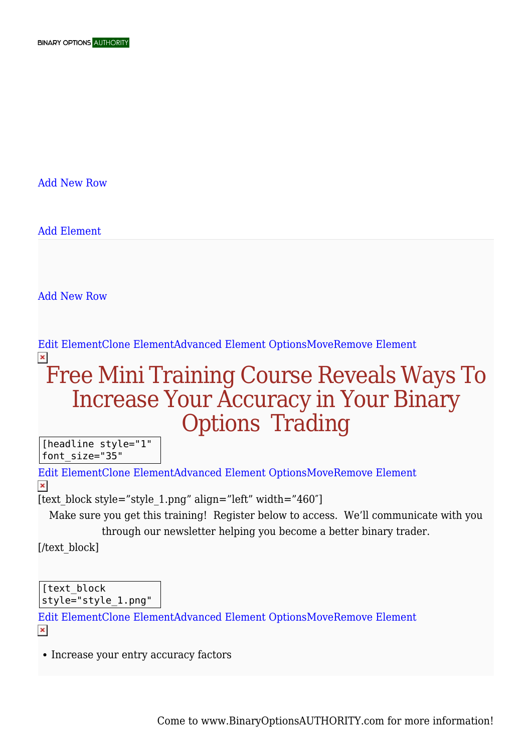[Add New Row](#page--1-0)

[Add Element](#page--1-0)

[Add New Row](#page--1-0)

## [Edit ElementClone ElementAdvanced Element OptionsMoveRemove Element](#page--1-0)  $\pmb{\times}$

## Free Mini Training Course Reveals Ways To Increase Your Accuracy in Your Binary Options Trading

[headline style="1" font\_size="35"

[Edit ElementClone ElementAdvanced Element OptionsMoveRemove Element](#page--1-0)  $\pmb{\times}$ 

[text\_block style="style\_1.png" align="left" width="460"]

Make sure you get this training! Register below to access. We'll communicate with you through our newsletter helping you become a better binary trader.

[/text\_block]

[text\_block style="style\_1.png"

[Edit ElementClone ElementAdvanced Element OptionsMoveRemove Element](#page--1-0)  $\pmb{\times}$ 

• Increase your entry accuracy factors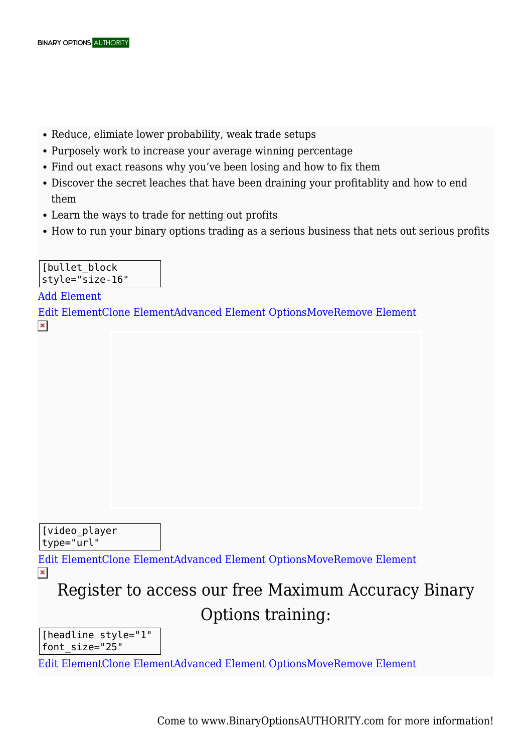- Reduce, elimiate lower probability, weak trade setups
- Purposely work to increase your average winning percentage
- Find out exact reasons why you've been losing and how to fix them
- Discover the secret leaches that have been draining your profitablity and how to end them
- Learn the ways to trade for netting out profits
- How to run your binary options trading as a serious business that nets out serious profits

[bullet block style="size-16"

[Add Element](#page--1-0) [Edit ElementClone ElementAdvanced Element OptionsMoveRemove Element](#page--1-0)  $\pmb{\times}$ 

## [video\_player type="url"

[Edit ElementClone ElementAdvanced Element OptionsMoveRemove Element](#page--1-0)  $\pmb{\times}$ 

Register to access our free Maximum Accuracy Binary Options training:

[headline style="1" font\_size="25"

[Edit ElementClone ElementAdvanced Element OptionsMoveRemove Element](#page--1-0)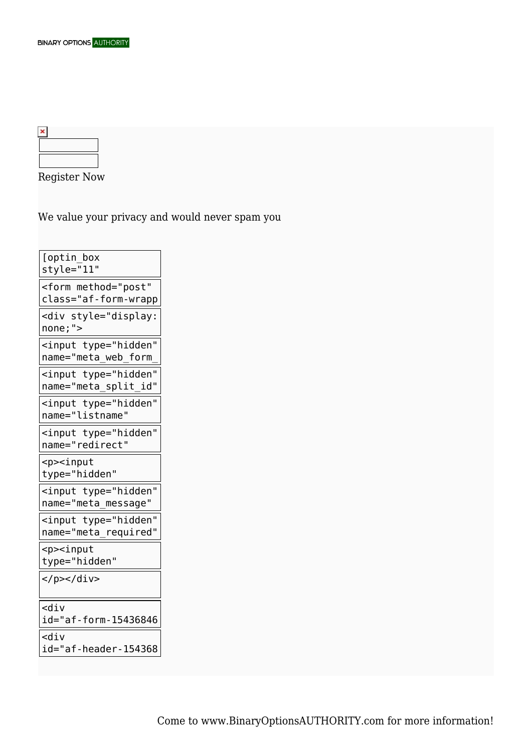Register Now

We value your privacy and would never spam you

| [optin_box<br>style="11"                               |
|--------------------------------------------------------|
| <form <br="" method="post">class="af-form-wrapp</form> |
| <div style="display:&lt;br&gt;none;"></div>            |
| <input <br="" type="hidden"/> name="meta_web_form_     |
| <input <br="" type="hidden"/> name="meta_split_id"     |
| <input <br="" type="hidden"/> name="listname"          |
| <input <br="" type="hidden"/> name="redirect"          |
| <p><input<br>type="hidden"</input<br></p>              |
| <input <br="" type="hidden"/> name="meta_message"      |
| <input <br="" type="hidden"/> name="meta_required"     |
| <p><input<br>type="hidden"</input<br></p>              |
| $<$ /p> $<$ /div>                                      |
| $<$ div<br>id="af-form-15436846                        |
| <div< td=""></div<>                                    |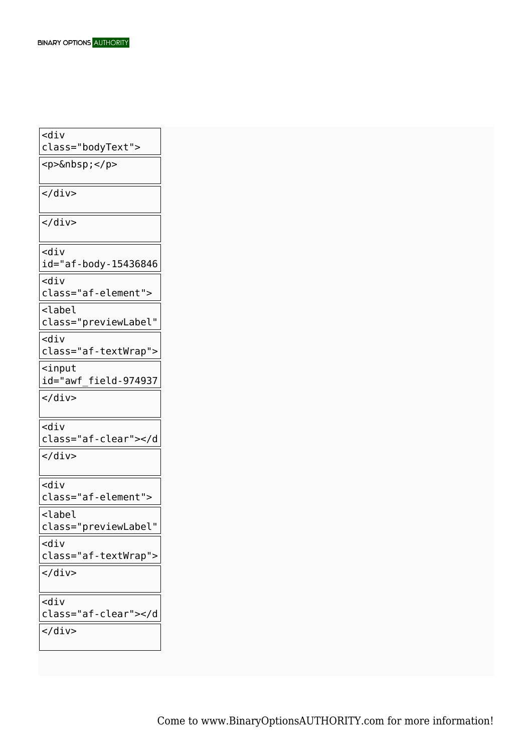| <div<br>class="bodyText"&gt;</div<br>     |
|-------------------------------------------|
| <p> </p>                                  |
|                                           |
|                                           |
| $\langle$ /div $\rangle$                  |
| $<$ div<br>id="af-body-15436846           |
| $<$ div                                   |
| class="af-element">                       |
| <label< td=""></label<>                   |
| class="previewLabel"                      |
| $<$ div<br>class="af-textWrap">           |
| $\leq$ input<br>id="awf field-974937      |
|                                           |
|                                           |
| <div< td=""></div<>                       |
| class="af-clear">                         |
| $\langle$ /div $\rangle$                  |
| <div< td=""></div<>                       |
| class="af-element">                       |
| <label<br>class="previewLabel"</label<br> |
| <div< td=""></div<>                       |
| class="af-textWrap">                      |
| $<$ /div>                                 |
| <div< td=""></div<>                       |
| class="af-clear">                         |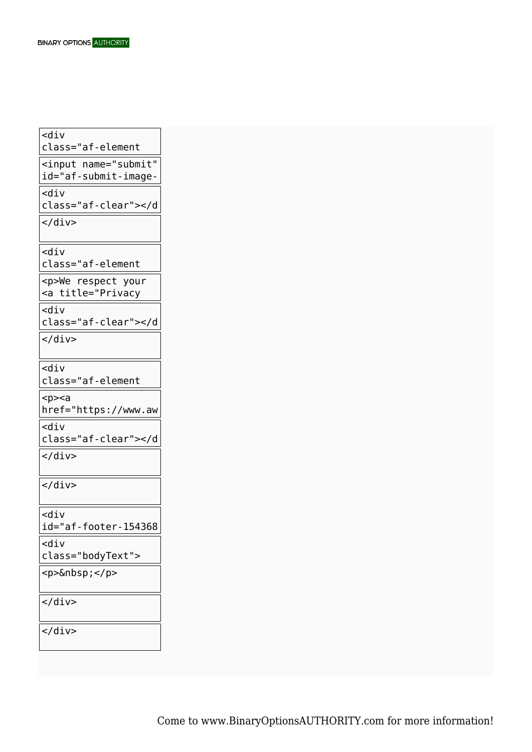<div class="af-element <input name="submit" id="af-submit-image- $\mathsf{ddiv}$ class="af-clear"></d  $\langle$ div $>$ <div class="af-element <p>We respect your <a title="Privacy <div class="af-clear"></d  $\langle$ div $>$ <div class="af-element  $<sub>p</sub>><sub>a</sub>$ </sub> href="https://www.aw  $<$ div class="af-clear"></d  $\overline{\left\langle \right\rangle}$  $\langle$ div $>$ <div id="af-footer-154368 4672" <div class="bodyText"> <p>&nbsp;</p>  $\langle$ div $>$  $\langle$ div $>$